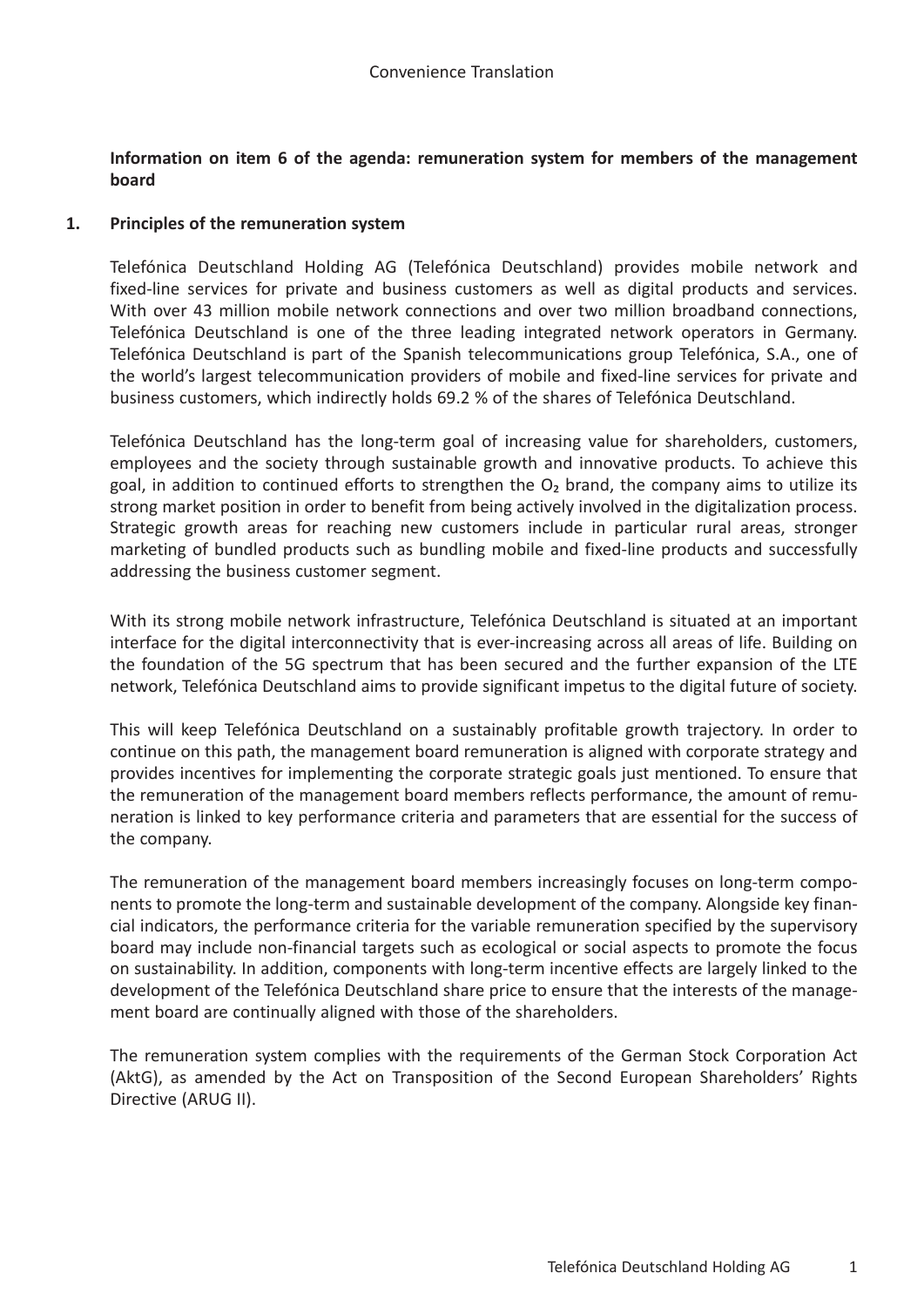# **Information on item 6 of the agenda: remuneration system for members of the management board**

# **1. Principles of the remuneration system**

Telefónica Deutschland Holding AG (Telefónica Deutschland) provides mobile network and fixed-line services for private and business customers as well as digital products and services. With over 43 million mobile network connections and over two million broadband connections, Telefónica Deutschland is one of the three leading integrated network operators in Germany. Telefónica Deutschland is part of the Spanish telecommunications group Telefónica, S.A., one of the world's largest telecommunication providers of mobile and fixed-line services for private and business customers, which indirectly holds 69.2 % of the shares of Telefónica Deutschland.

Telefónica Deutschland has the long-term goal of increasing value for shareholders, customers, employees and the society through sustainable growth and innovative products. To achieve this goal, in addition to continued efforts to strengthen the  $O<sub>2</sub>$  brand, the company aims to utilize its strong market position in order to benefit from being actively involved in the digitalization process. Strategic growth areas for reaching new customers include in particular rural areas, stronger marketing of bundled products such as bundling mobile and fixed-line products and successfully addressing the business customer segment.

With its strong mobile network infrastructure, Telefónica Deutschland is situated at an important interface for the digital interconnectivity that is ever-increasing across all areas of life. Building on the foundation of the 5G spectrum that has been secured and the further expansion of the LTE network, Telefónica Deutschland aims to provide significant impetus to the digital future of society.

This will keep Telefónica Deutschland on a sustainably profitable growth trajectory. In order to continue on this path, the management board remuneration is aligned with corporate strategy and provides incentives for implementing the corporate strategic goals just mentioned. To ensure that the remuneration of the management board members reflects performance, the amount of remuneration is linked to key performance criteria and parameters that are essential for the success of the company.

The remuneration of the management board members increasingly focuses on long-term components to promote the long-term and sustainable development of the company. Alongside key financial indicators, the performance criteria for the variable remuneration specified by the supervisory board may include non-financial targets such as ecological or social aspects to promote the focus on sustainability. In addition, components with long-term incentive effects are largely linked to the development of the Telefónica Deutschland share price to ensure that the interests of the management board are continually aligned with those of the shareholders.

The remuneration system complies with the requirements of the German Stock Corporation Act (AktG), as amended by the Act on Transposition of the Second European Shareholders' Rights Directive (ARUG II).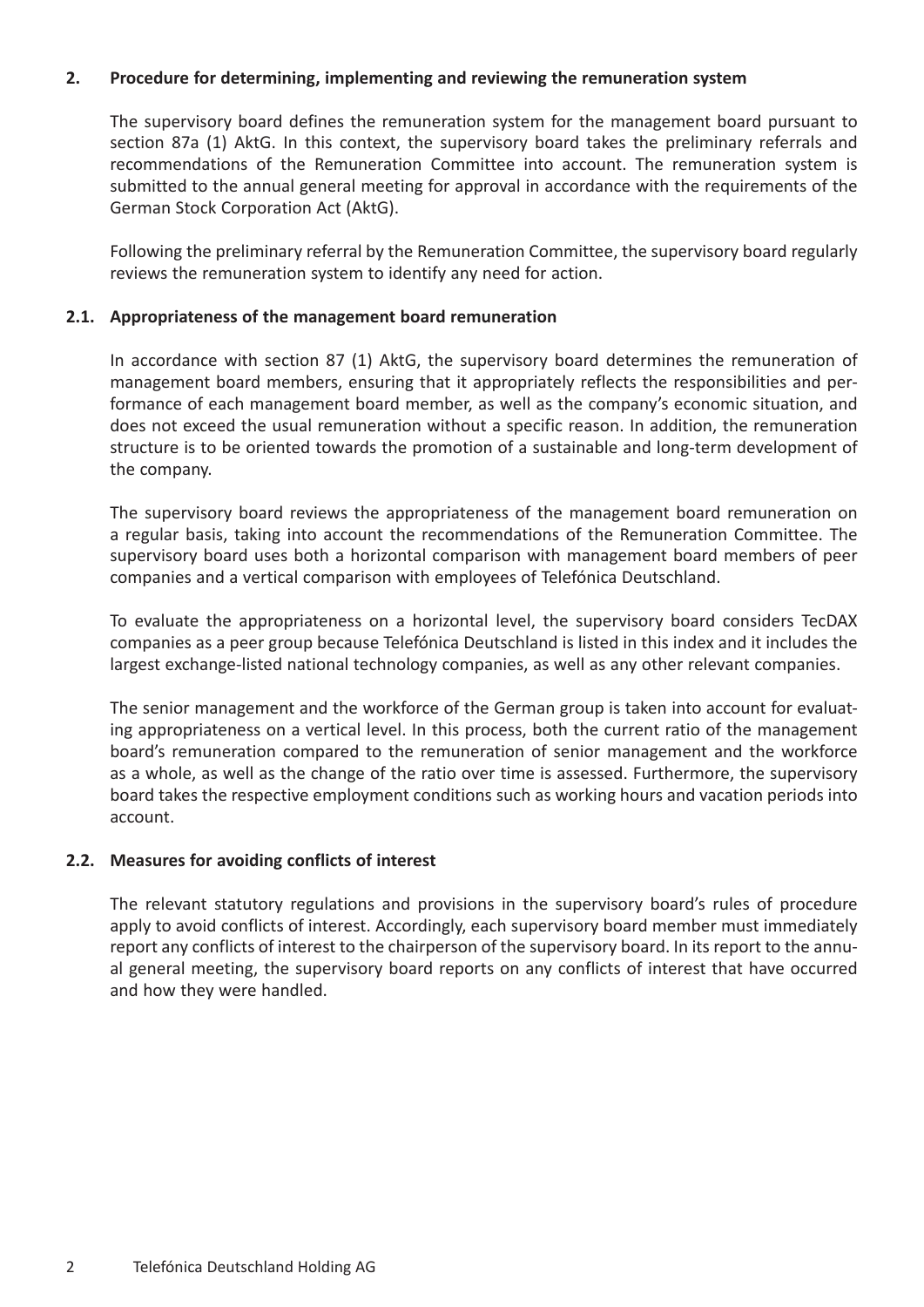# **2. Procedure for determining, implementing and reviewing the remuneration system**

The supervisory board defines the remuneration system for the management board pursuant to section 87a (1) AktG. In this context, the supervisory board takes the preliminary referrals and recommendations of the Remuneration Committee into account. The remuneration system is submitted to the annual general meeting for approval in accordance with the requirements of the German Stock Corporation Act (AktG).

Following the preliminary referral by the Remuneration Committee, the supervisory board regularly reviews the remuneration system to identify any need for action.

# **2.1. Appropriateness of the management board remuneration**

In accordance with section 87 (1) AktG, the supervisory board determines the remuneration of management board members, ensuring that it appropriately reflects the responsibilities and performance of each management board member, as well as the company's economic situation, and does not exceed the usual remuneration without a specific reason. In addition, the remuneration structure is to be oriented towards the promotion of a sustainable and long-term development of the company.

The supervisory board reviews the appropriateness of the management board remuneration on a regular basis, taking into account the recommendations of the Remuneration Committee. The supervisory board uses both a horizontal comparison with management board members of peer companies and a vertical comparison with employees of Telefónica Deutschland.

To evaluate the appropriateness on a horizontal level, the supervisory board considers TecDAX companies as a peer group because Telefónica Deutschland is listed in this index and it includes the largest exchange-listed national technology companies, as well as any other relevant companies.

The senior management and the workforce of the German group is taken into account for evaluating appropriateness on a vertical level. In this process, both the current ratio of the management board's remuneration compared to the remuneration of senior management and the workforce as a whole, as well as the change of the ratio over time is assessed. Furthermore, the supervisory board takes the respective employment conditions such as working hours and vacation periods into account.

## **2.2. Measures for avoiding conflicts of interest**

The relevant statutory regulations and provisions in the supervisory board's rules of procedure apply to avoid conflicts of interest. Accordingly, each supervisory board member must immediately report any conflicts of interest to the chairperson of the supervisory board. In its report to the annual general meeting, the supervisory board reports on any conflicts of interest that have occurred and how they were handled.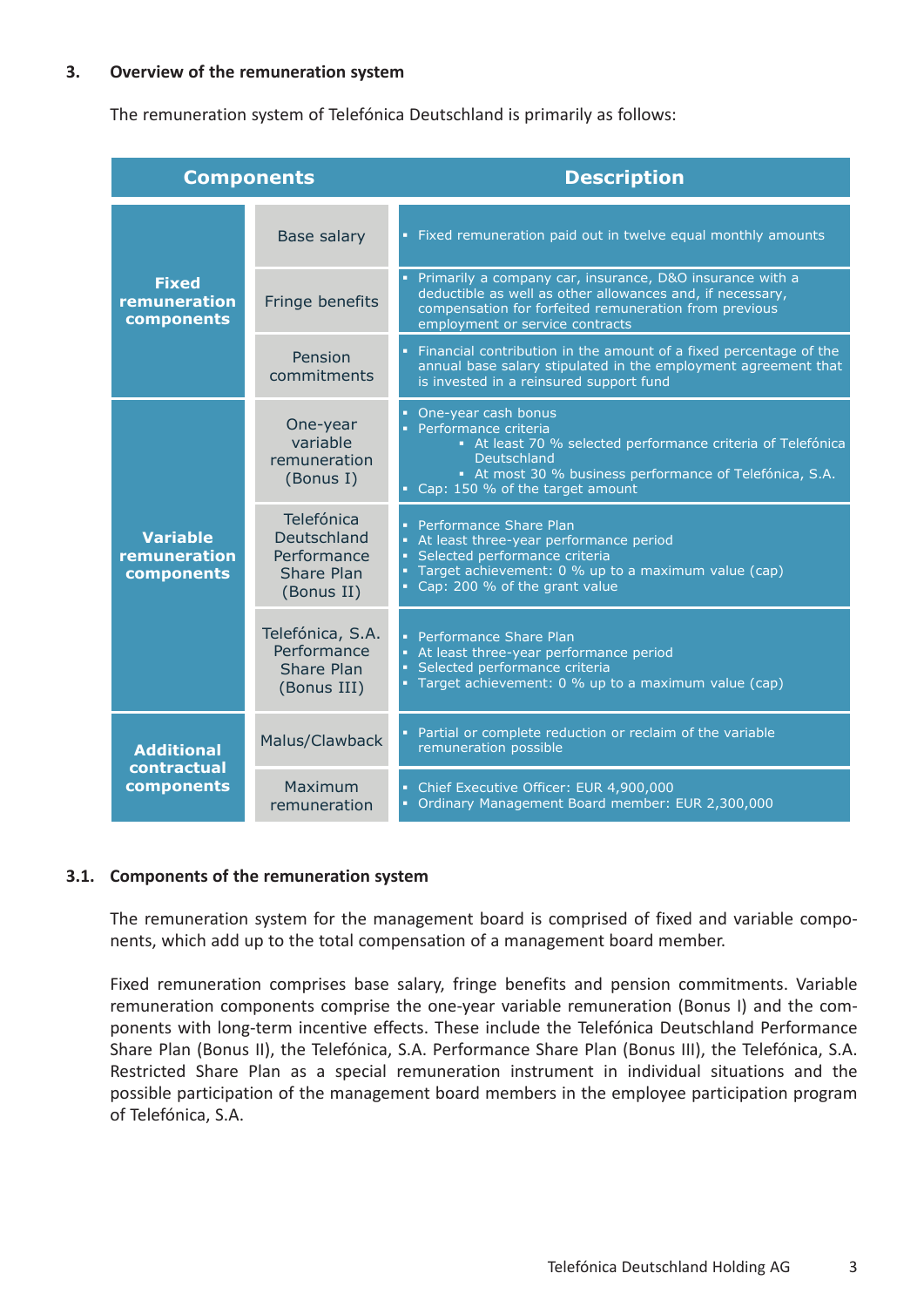# **3. Overview of the remuneration system**

The remuneration system of Telefónica Deutschland is primarily as follows:

| <b>Components</b><br><b>Base salary</b><br><b>Fixed</b><br>Fringe benefits<br>remuneration<br>components<br>Pension<br>commitments |                                                                             | <b>Description</b>                                                                                                                                                                                                      |
|------------------------------------------------------------------------------------------------------------------------------------|-----------------------------------------------------------------------------|-------------------------------------------------------------------------------------------------------------------------------------------------------------------------------------------------------------------------|
|                                                                                                                                    |                                                                             | . Fixed remuneration paid out in twelve equal monthly amounts                                                                                                                                                           |
|                                                                                                                                    |                                                                             | • Primarily a company car, insurance, D&O insurance with a<br>deductible as well as other allowances and, if necessary,<br>compensation for forfeited remuneration from previous<br>employment or service contracts     |
|                                                                                                                                    |                                                                             | Financial contribution in the amount of a fixed percentage of the<br>annual base salary stipulated in the employment agreement that<br>is invested in a reinsured support fund                                          |
|                                                                                                                                    | One-year<br>variable<br>remuneration<br>(Bonus I)                           | One-year cash bonus<br>Performance criteria<br>- At least 70 % selected performance criteria of Telefónica<br>Deutschland<br>• At most 30 % business performance of Telefónica, S.A.<br>Cap: 150 % of the target amount |
| <b>Variable</b><br>remuneration<br>components                                                                                      | Telefónica<br>Deutschland<br>Performance<br><b>Share Plan</b><br>(Bonus II) | • Performance Share Plan<br>• At least three-year performance period<br>Selected performance criteria<br>Target achievement: 0 % up to a maximum value (cap)<br>Cap: 200 % of the grant value                           |
|                                                                                                                                    | Telefónica, S.A.<br>Performance<br><b>Share Plan</b><br>(Bonus III)         | • Performance Share Plan<br>• At least three-year performance period<br>Selected performance criteria<br>• Target achievement: 0 % up to a maximum value (cap)                                                          |
| <b>Additional</b>                                                                                                                  | Malus/Clawback                                                              | Partial or complete reduction or reclaim of the variable<br>remuneration possible                                                                                                                                       |
| contractual<br>components                                                                                                          | Maximum<br>remuneration                                                     | • Chief Executive Officer: EUR 4,900,000<br>• Ordinary Management Board member: EUR 2,300,000                                                                                                                           |

## **3.1. Components of the remuneration system**

The remuneration system for the management board is comprised of fixed and variable components, which add up to the total compensation of a management board member.

Fixed remuneration comprises base salary, fringe benefits and pension commitments. Variable remuneration components comprise the one-year variable remuneration (Bonus I) and the components with long-term incentive effects. These include the Telefónica Deutschland Performance Share Plan (Bonus II), the Telefónica, S.A. Performance Share Plan (Bonus III), the Telefónica, S.A. Restricted Share Plan as a special remuneration instrument in individual situations and the possible participation of the management board members in the employee participation program of Telefónica, S.A.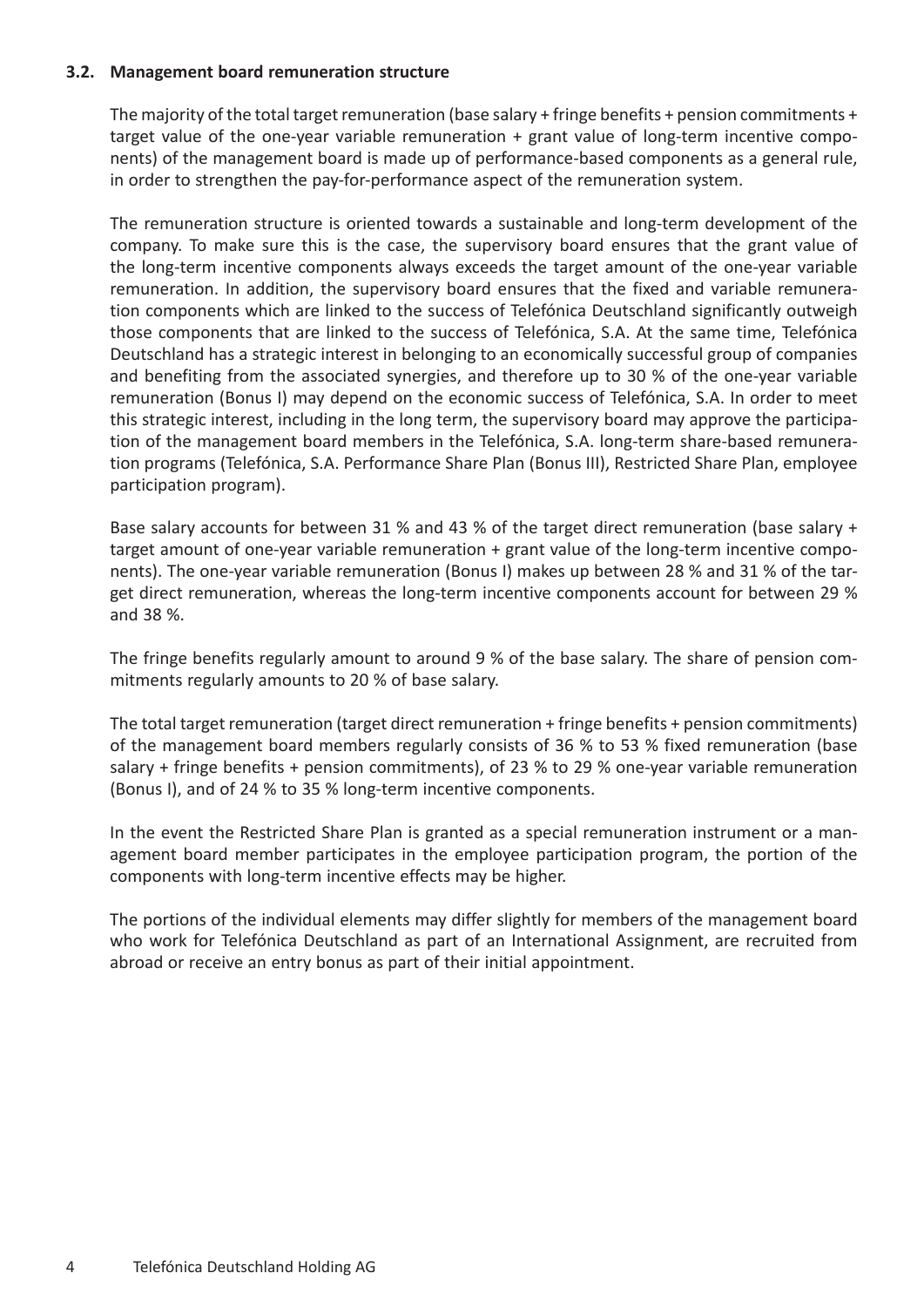# **3.2. Management board remuneration structure**

The majority of the total target remuneration (base salary + fringe benefits + pension commitments + target value of the one-year variable remuneration + grant value of long-term incentive components) of the management board is made up of performance-based components as a general rule, in order to strengthen the pay-for-performance aspect of the remuneration system.

The remuneration structure is oriented towards a sustainable and long-term development of the company. To make sure this is the case, the supervisory board ensures that the grant value of the long-term incentive components always exceeds the target amount of the one-year variable remuneration. In addition, the supervisory board ensures that the fixed and variable remuneration components which are linked to the success of Telefónica Deutschland significantly outweigh those components that are linked to the success of Telefónica, S.A. At the same time, Telefónica Deutschland has a strategic interest in belonging to an economically successful group of companies and benefiting from the associated synergies, and therefore up to 30 % of the one-year variable remuneration (Bonus I) may depend on the economic success of Telefónica, S.A. In order to meet this strategic interest, including in the long term, the supervisory board may approve the participation of the management board members in the Telefónica, S.A. long-term share-based remuneration programs (Telefónica, S.A. Performance Share Plan (Bonus III), Restricted Share Plan, employee participation program).

Base salary accounts for between 31 % and 43 % of the target direct remuneration (base salary + target amount of one-year variable remuneration + grant value of the long-term incentive components). The one-year variable remuneration (Bonus I) makes up between 28 % and 31 % of the target direct remuneration, whereas the long-term incentive components account for between 29 % and 38 %.

The fringe benefits regularly amount to around 9 % of the base salary. The share of pension commitments regularly amounts to 20 % of base salary.

The total target remuneration (target direct remuneration + fringe benefits + pension commitments) of the management board members regularly consists of 36 % to 53 % fixed remuneration (base salary + fringe benefits + pension commitments), of 23 % to 29 % one-year variable remuneration (Bonus I), and of 24 % to 35 % long-term incentive components.

In the event the Restricted Share Plan is granted as a special remuneration instrument or a management board member participates in the employee participation program, the portion of the components with long-term incentive effects may be higher.

The portions of the individual elements may differ slightly for members of the management board who work for Telefónica Deutschland as part of an International Assignment, are recruited from abroad or receive an entry bonus as part of their initial appointment.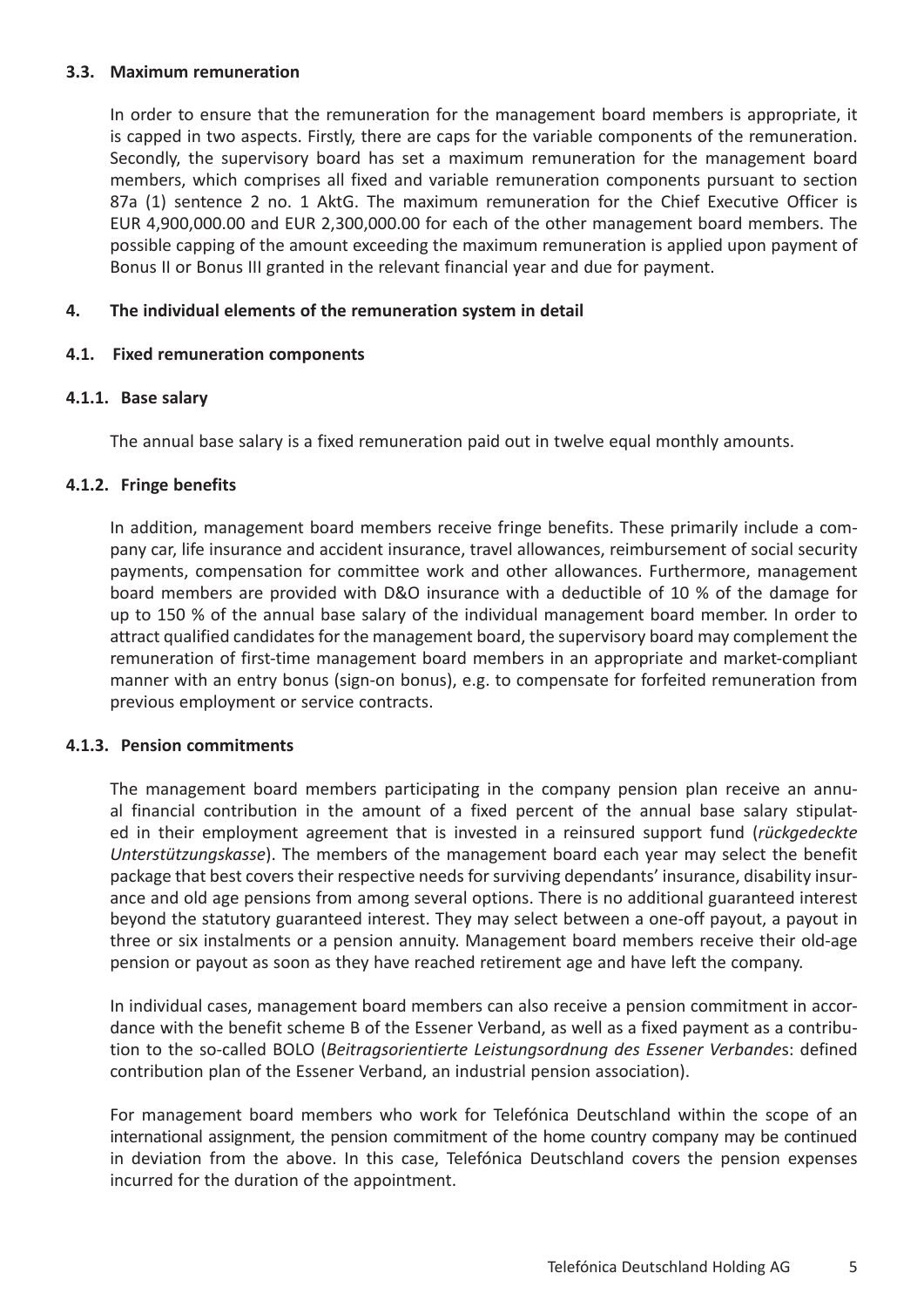# **3.3. Maximum remuneration**

In order to ensure that the remuneration for the management board members is appropriate, it is capped in two aspects. Firstly, there are caps for the variable components of the remuneration. Secondly, the supervisory board has set a maximum remuneration for the management board members, which comprises all fixed and variable remuneration components pursuant to section 87a (1) sentence 2 no. 1 AktG. The maximum remuneration for the Chief Executive Officer is EUR 4,900,000.00 and EUR 2,300,000.00 for each of the other management board members. The possible capping of the amount exceeding the maximum remuneration is applied upon payment of Bonus II or Bonus III granted in the relevant financial year and due for payment.

# **4. The individual elements of the remuneration system in detail**

## **4.1. Fixed remuneration components**

# **4.1.1. Base salary**

The annual base salary is a fixed remuneration paid out in twelve equal monthly amounts.

# **4.1.2. Fringe benefits**

In addition, management board members receive fringe benefits. These primarily include a company car, life insurance and accident insurance, travel allowances, reimbursement of social security payments, compensation for committee work and other allowances. Furthermore, management board members are provided with D&O insurance with a deductible of 10 % of the damage for up to 150 % of the annual base salary of the individual management board member. In order to attract qualified candidates for the management board, the supervisory board may complement the remuneration of first-time management board members in an appropriate and market-compliant manner with an entry bonus (sign-on bonus), e.g. to compensate for forfeited remuneration from previous employment or service contracts.

## **4.1.3. Pension commitments**

The management board members participating in the company pension plan receive an annual financial contribution in the amount of a fixed percent of the annual base salary stipulated in their employment agreement that is invested in a reinsured support fund (*rückgedeckte Unterstützungskasse*). The members of the management board each year may select the benefit package that best covers their respective needs for surviving dependants' insurance, disability insurance and old age pensions from among several options. There is no additional guaranteed interest beyond the statutory guaranteed interest. They may select between a one-off payout, a payout in three or six instalments or a pension annuity. Management board members receive their old-age pension or payout as soon as they have reached retirement age and have left the company.

In individual cases, management board members can also receive a pension commitment in accordance with the benefit scheme B of the Essener Verband, as well as a fixed payment as a contribution to the so-called BOLO (*Beitragsorientierte Leistungsordnung des Essener Verbande*s: defined contribution plan of the Essener Verband, an industrial pension association).

For management board members who work for Telefónica Deutschland within the scope of an international assignment, the pension commitment of the home country company may be continued in deviation from the above. In this case, Telefónica Deutschland covers the pension expenses incurred for the duration of the appointment.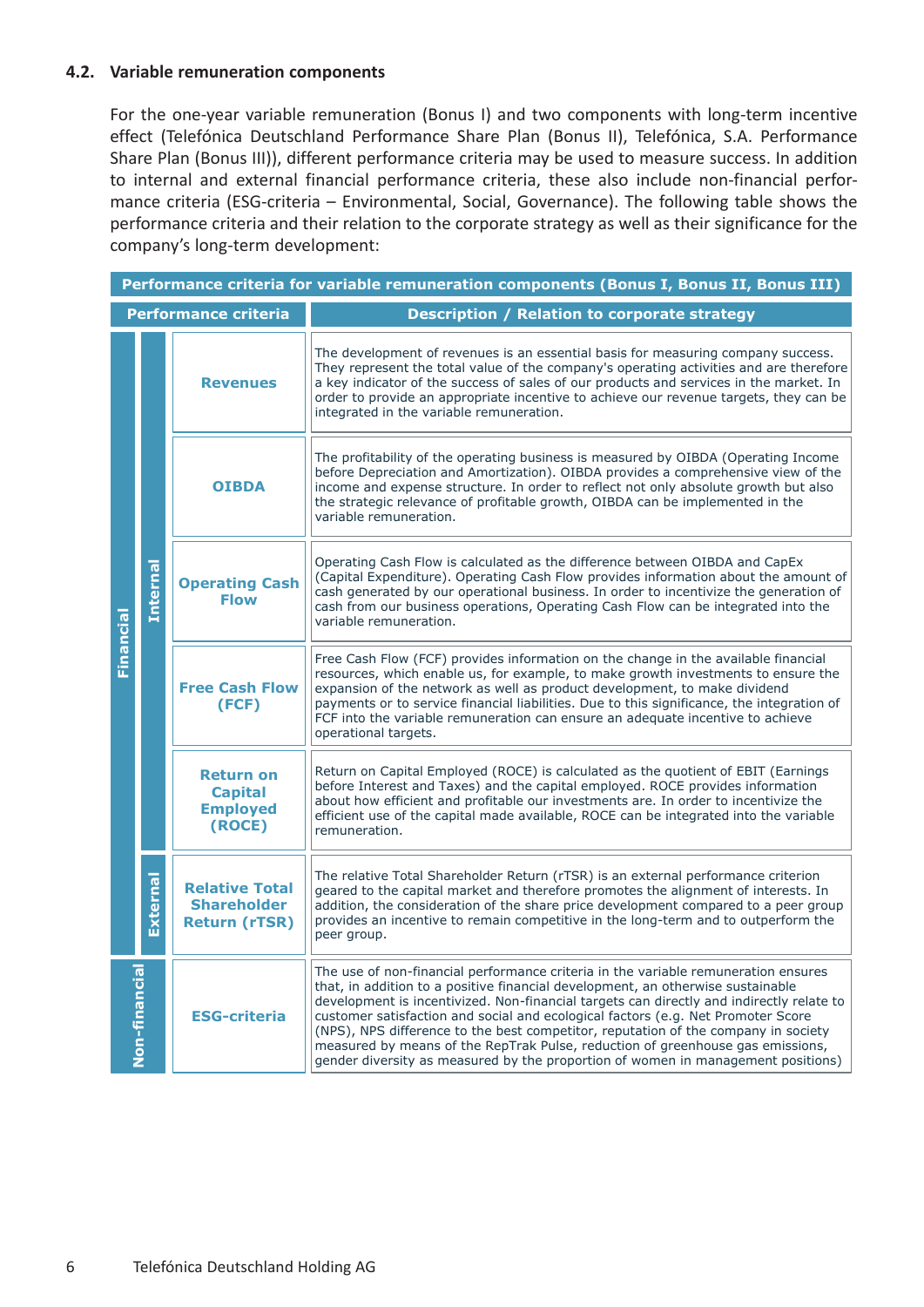# **4.2. Variable remuneration components**

For the one-year variable remuneration (Bonus I) and two components with long-term incentive effect (Telefónica Deutschland Performance Share Plan (Bonus II), Telefónica, S.A. Performance Share Plan (Bonus III)), different performance criteria may be used to measure success. In addition to internal and external financial performance criteria, these also include non-financial performance criteria (ESG-criteria – Environmental, Social, Governance). The following table shows the performance criteria and their relation to the corporate strategy as well as their significance for the company's long-term development:

| Performance criteria for variable remuneration components (Bonus I, Bonus II, Bonus III) |                 |                                                                     |                                                                                                                                                                                                                                                                                                                                                                                                                                                                                                                                                                                                                   |  |
|------------------------------------------------------------------------------------------|-----------------|---------------------------------------------------------------------|-------------------------------------------------------------------------------------------------------------------------------------------------------------------------------------------------------------------------------------------------------------------------------------------------------------------------------------------------------------------------------------------------------------------------------------------------------------------------------------------------------------------------------------------------------------------------------------------------------------------|--|
| <b>Performance criteria</b>                                                              |                 |                                                                     | <b>Description / Relation to corporate strategy</b>                                                                                                                                                                                                                                                                                                                                                                                                                                                                                                                                                               |  |
| Financial                                                                                |                 | <b>Revenues</b>                                                     | The development of revenues is an essential basis for measuring company success.<br>They represent the total value of the company's operating activities and are therefore<br>a key indicator of the success of sales of our products and services in the market. In<br>order to provide an appropriate incentive to achieve our revenue targets, they can be<br>integrated in the variable remuneration.                                                                                                                                                                                                         |  |
|                                                                                          |                 | <b>OIBDA</b>                                                        | The profitability of the operating business is measured by OIBDA (Operating Income<br>before Depreciation and Amortization). OIBDA provides a comprehensive view of the<br>income and expense structure. In order to reflect not only absolute growth but also<br>the strategic relevance of profitable growth, OIBDA can be implemented in the<br>variable remuneration.                                                                                                                                                                                                                                         |  |
|                                                                                          | <b>Internal</b> | <b>Operating Cash</b><br><b>Flow</b>                                | Operating Cash Flow is calculated as the difference between OIBDA and CapEx<br>(Capital Expenditure). Operating Cash Flow provides information about the amount of<br>cash generated by our operational business. In order to incentivize the generation of<br>cash from our business operations, Operating Cash Flow can be integrated into the<br>variable remuneration.                                                                                                                                                                                                                                        |  |
|                                                                                          |                 | <b>Free Cash Flow</b><br>(FCF)                                      | Free Cash Flow (FCF) provides information on the change in the available financial<br>resources, which enable us, for example, to make growth investments to ensure the<br>expansion of the network as well as product development, to make dividend<br>payments or to service financial liabilities. Due to this significance, the integration of<br>FCF into the variable remuneration can ensure an adequate incentive to achieve<br>operational targets.                                                                                                                                                      |  |
|                                                                                          |                 | <b>Return on</b><br><b>Capital</b><br><b>Employed</b><br>(ROCE)     | Return on Capital Employed (ROCE) is calculated as the quotient of EBIT (Earnings<br>before Interest and Taxes) and the capital employed. ROCE provides information<br>about how efficient and profitable our investments are. In order to incentivize the<br>efficient use of the capital made available, ROCE can be integrated into the variable<br>remuneration.                                                                                                                                                                                                                                              |  |
|                                                                                          | <b>External</b> | <b>Relative Total</b><br><b>Shareholder</b><br><b>Return (rTSR)</b> | The relative Total Shareholder Return (rTSR) is an external performance criterion<br>geared to the capital market and therefore promotes the alignment of interests. In<br>addition, the consideration of the share price development compared to a peer group<br>provides an incentive to remain competitive in the long-term and to outperform the<br>peer group.                                                                                                                                                                                                                                               |  |
| Non-financial                                                                            |                 | <b>ESG-criteria</b>                                                 | The use of non-financial performance criteria in the variable remuneration ensures<br>that, in addition to a positive financial development, an otherwise sustainable<br>development is incentivized. Non-financial targets can directly and indirectly relate to<br>customer satisfaction and social and ecological factors (e.g. Net Promoter Score<br>(NPS), NPS difference to the best competitor, reputation of the company in society<br>measured by means of the RepTrak Pulse, reduction of greenhouse gas emissions,<br>gender diversity as measured by the proportion of women in management positions) |  |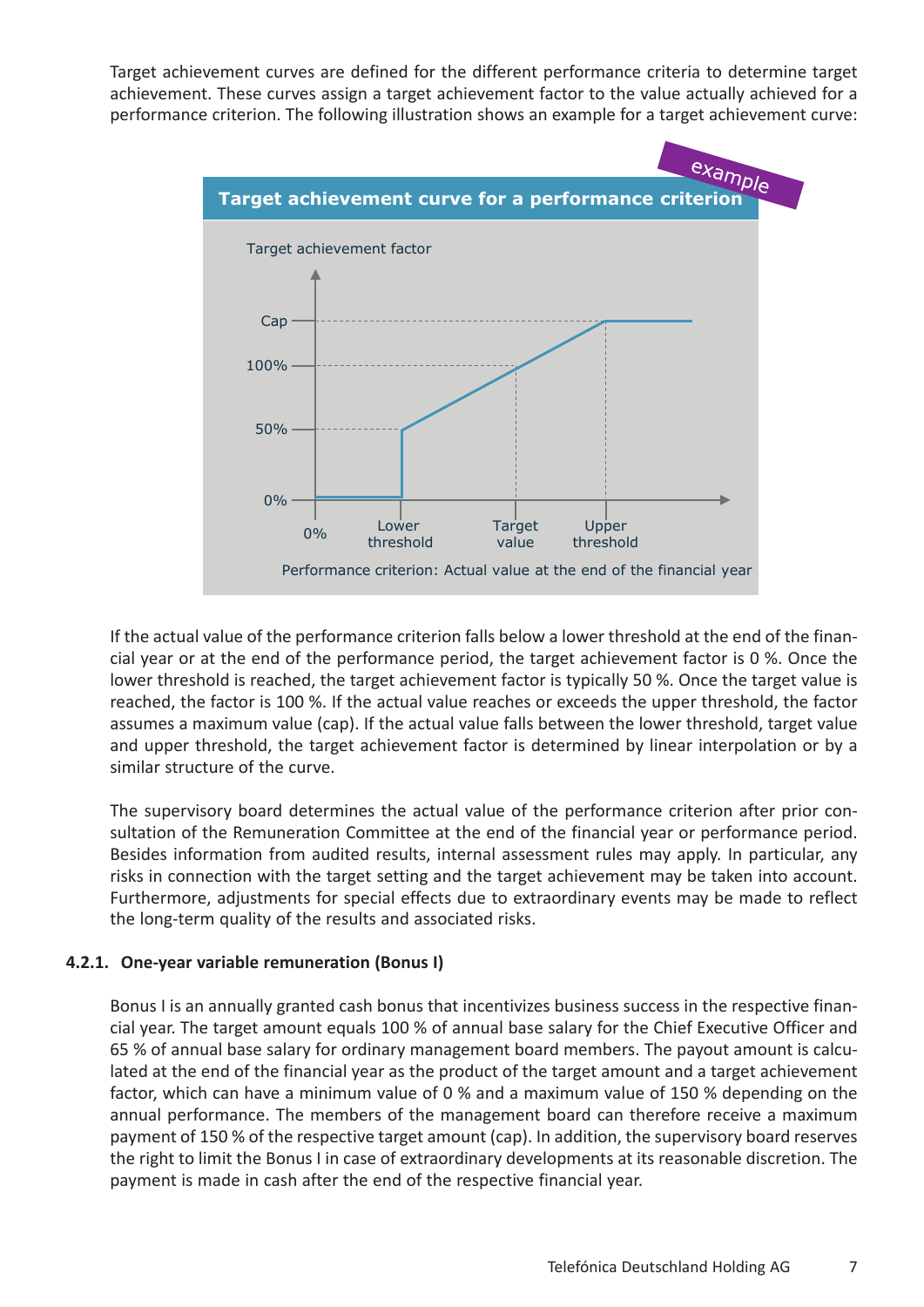Target achievement curves are defined for the different performance criteria to determine target achievement. These curves assign a target achievement factor to the value actually achieved for a performance criterion. The following illustration shows an example for a target achievement curve:



If the actual value of the performance criterion falls below a lower threshold at the end of the financial year or at the end of the performance period, the target achievement factor is 0 %. Once the lower threshold is reached, the target achievement factor is typically 50 %. Once the target value is reached, the factor is 100 %. If the actual value reaches or exceeds the upper threshold, the factor assumes a maximum value (cap). If the actual value falls between the lower threshold, target value and upper threshold, the target achievement factor is determined by linear interpolation or by a similar structure of the curve.

The supervisory board determines the actual value of the performance criterion after prior consultation of the Remuneration Committee at the end of the financial year or performance period. Besides information from audited results, internal assessment rules may apply. In particular, any risks in connection with the target setting and the target achievement may be taken into account. Furthermore, adjustments for special effects due to extraordinary events may be made to reflect the long-term quality of the results and associated risks.

## **4.2.1. One-year variable remuneration (Bonus I)**

Bonus I is an annually granted cash bonus that incentivizes business success in the respective financial year. The target amount equals 100 % of annual base salary for the Chief Executive Officer and 65 % of annual base salary for ordinary management board members. The payout amount is calculated at the end of the financial year as the product of the target amount and a target achievement factor, which can have a minimum value of 0 % and a maximum value of 150 % depending on the annual performance. The members of the management board can therefore receive a maximum payment of 150 % of the respective target amount (cap). In addition, the supervisory board reserves the right to limit the Bonus I in case of extraordinary developments at its reasonable discretion. The payment is made in cash after the end of the respective financial year.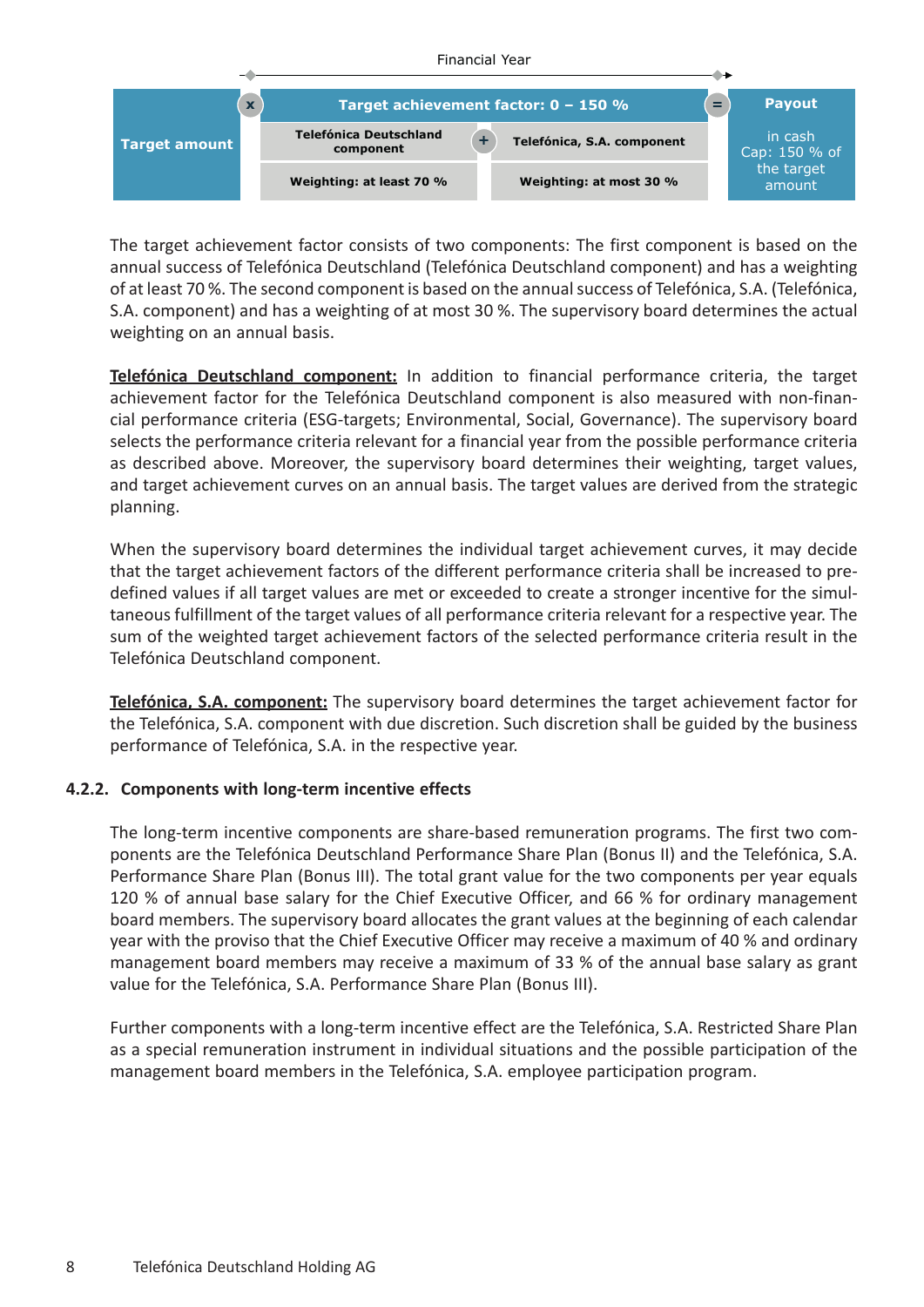

The target achievement factor consists of two components: The first component is based on the annual success of Telefónica Deutschland (Telefónica Deutschland component) and has a weighting of at least 70 %. The second component is based on the annual success of Telefónica, S.A. (Telefónica, S.A. component) and has a weighting of at most 30 %. The supervisory board determines the actual weighting on an annual basis.

**Telefónica Deutschland component:** In addition to financial performance criteria, the target achievement factor for the Telefónica Deutschland component is also measured with non-financial performance criteria (ESG-targets; Environmental, Social, Governance). The supervisory board selects the performance criteria relevant for a financial year from the possible performance criteria as described above. Moreover, the supervisory board determines their weighting, target values, and target achievement curves on an annual basis. The target values are derived from the strategic planning.

When the supervisory board determines the individual target achievement curves, it may decide that the target achievement factors of the different performance criteria shall be increased to predefined values if all target values are met or exceeded to create a stronger incentive for the simultaneous fulfillment of the target values of all performance criteria relevant for a respective year. The sum of the weighted target achievement factors of the selected performance criteria result in the Telefónica Deutschland component.

**Telefónica, S.A. component:** The supervisory board determines the target achievement factor for the Telefónica, S.A. component with due discretion. Such discretion shall be guided by the business performance of Telefónica, S.A. in the respective year.

# **4.2.2. Components with long-term incentive effects**

The long-term incentive components are share-based remuneration programs. The first two components are the Telefónica Deutschland Performance Share Plan (Bonus II) and the Telefónica, S.A. Performance Share Plan (Bonus III). The total grant value for the two components per year equals 120 % of annual base salary for the Chief Executive Officer, and 66 % for ordinary management board members. The supervisory board allocates the grant values at the beginning of each calendar year with the proviso that the Chief Executive Officer may receive a maximum of 40 % and ordinary management board members may receive a maximum of 33 % of the annual base salary as grant value for the Telefónica, S.A. Performance Share Plan (Bonus III).

Further components with a long-term incentive effect are the Telefónica, S.A. Restricted Share Plan as a special remuneration instrument in individual situations and the possible participation of the management board members in the Telefónica, S.A. employee participation program.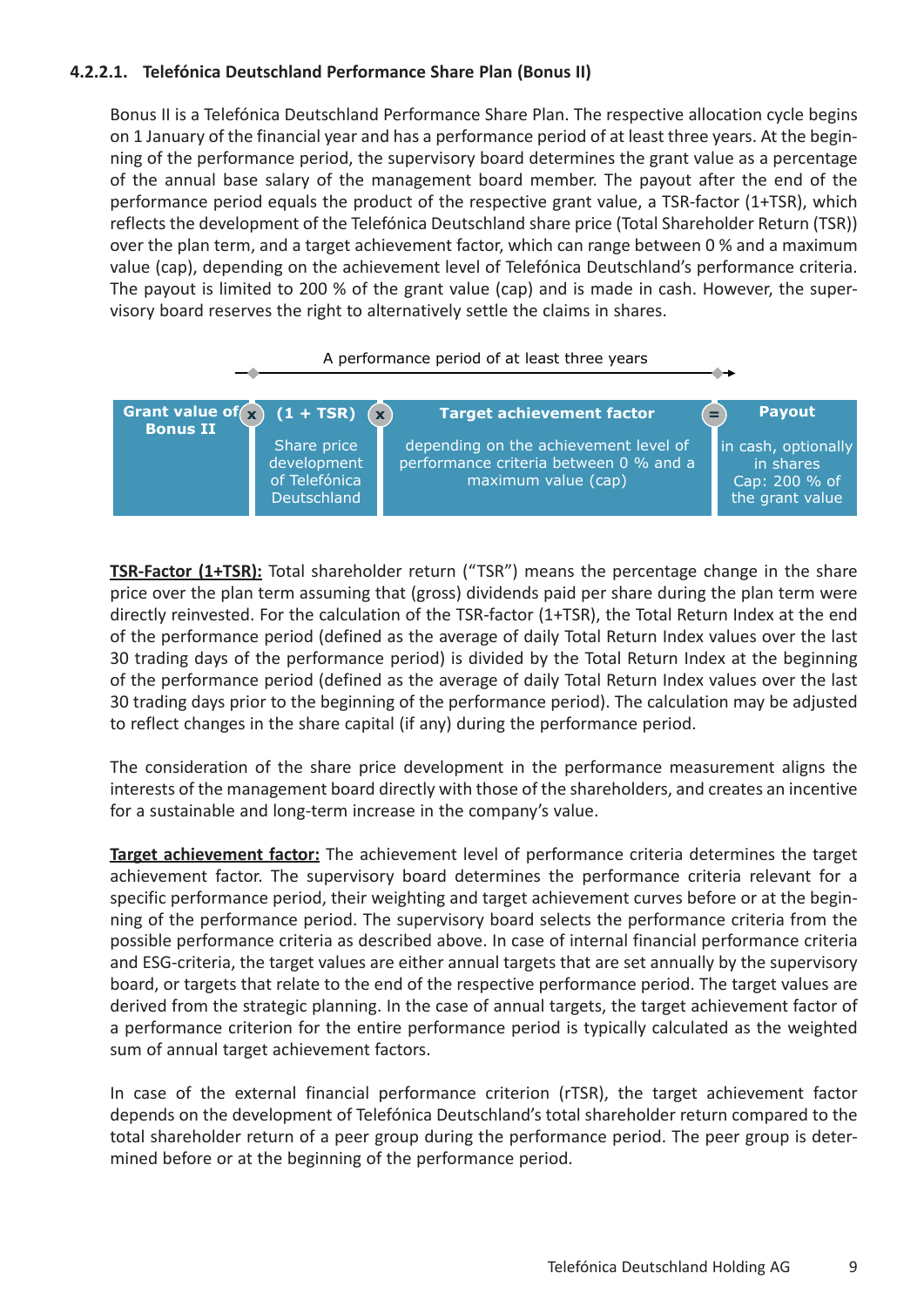# **4.2.2.1. Telefónica Deutschland Performance Share Plan (Bonus II)**

Bonus II is a Telefónica Deutschland Performance Share Plan. The respective allocation cycle begins on 1 January of the financial year and has a performance period of at least three years. At the beginning of the performance period, the supervisory board determines the grant value as a percentage of the annual base salary of the management board member. The payout after the end of the performance period equals the product of the respective grant value, a TSR-factor (1+TSR), which reflects the development of the Telefónica Deutschland share price (Total Shareholder Return (TSR)) over the plan term, and a target achievement factor, which can range between 0 % and a maximum value (cap), depending on the achievement level of Telefónica Deutschland's performance criteria. The payout is limited to 200 % of the grant value (cap) and is made in cash. However, the supervisory board reserves the right to alternatively settle the claims in shares.





**TSR-Factor (1+TSR):** Total shareholder return ("TSR") means the percentage change in the share price over the plan term assuming that (gross) dividends paid per share during the plan term were directly reinvested. For the calculation of the TSR-factor (1+TSR), the Total Return Index at the end of the performance period (defined as the average of daily Total Return Index values over the last 30 trading days of the performance period) is divided by the Total Return Index at the beginning of the performance period (defined as the average of daily Total Return Index values over the last 30 trading days prior to the beginning of the performance period). The calculation may be adjusted to reflect changes in the share capital (if any) during the performance period.

The consideration of the share price development in the performance measurement aligns the interests of the management board directly with those of the shareholders, and creates an incentive for a sustainable and long-term increase in the company's value.

**Target achievement factor:** The achievement level of performance criteria determines the target achievement factor. The supervisory board determines the performance criteria relevant for a specific performance period, their weighting and target achievement curves before or at the beginning of the performance period. The supervisory board selects the performance criteria from the possible performance criteria as described above. In case of internal financial performance criteria and ESG-criteria, the target values are either annual targets that are set annually by the supervisory board, or targets that relate to the end of the respective performance period. The target values are derived from the strategic planning. In the case of annual targets, the target achievement factor of a performance criterion for the entire performance period is typically calculated as the weighted sum of annual target achievement factors.

In case of the external financial performance criterion (rTSR), the target achievement factor depends on the development of Telefónica Deutschland's total shareholder return compared to the total shareholder return of a peer group during the performance period. The peer group is determined before or at the beginning of the performance period.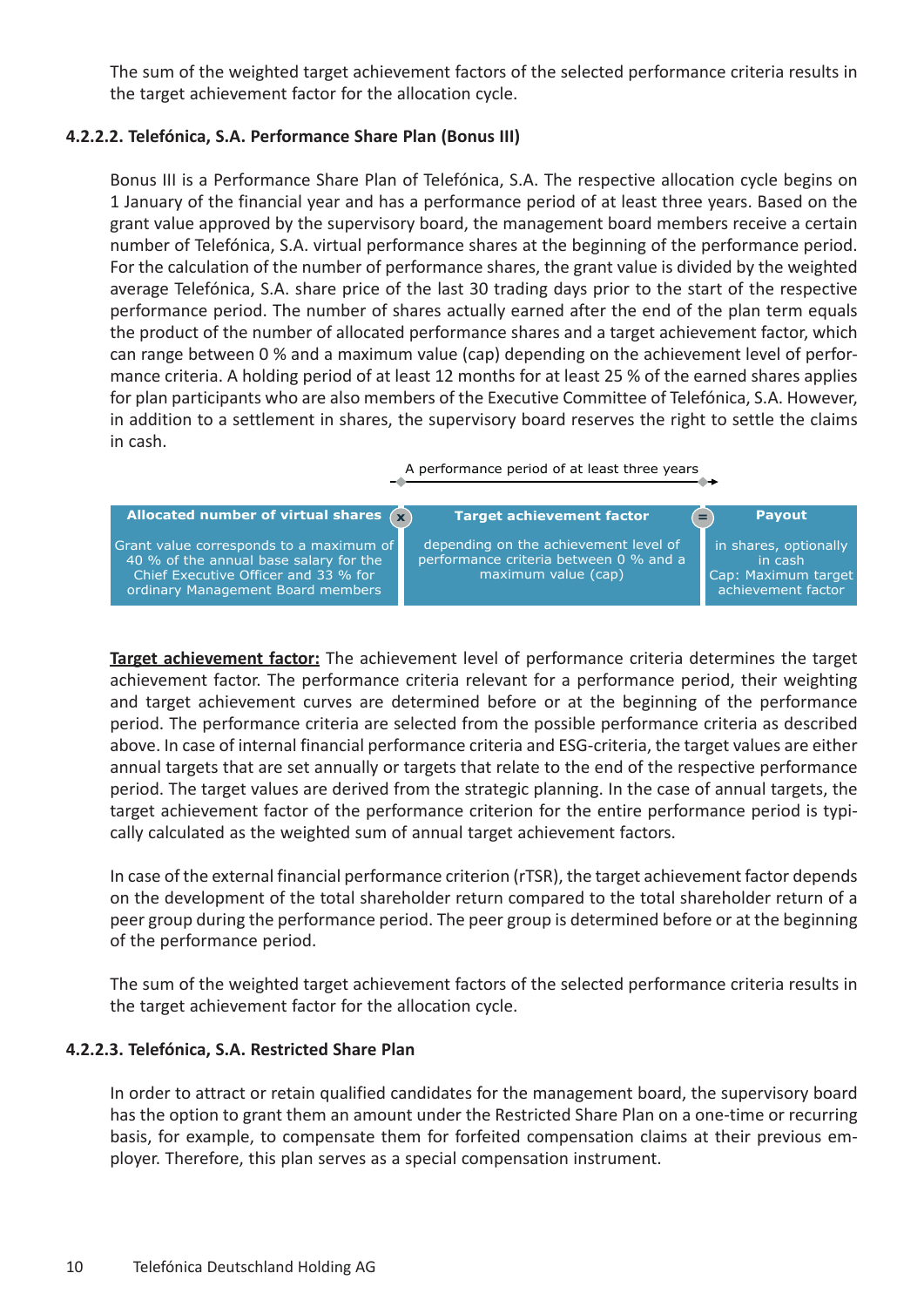The sum of the weighted target achievement factors of the selected performance criteria results in the target achievement factor for the allocation cycle.

# **4.2.2.2. Telefónica, S.A. Performance Share Plan (Bonus III)**

Bonus III is a Performance Share Plan of Telefónica, S.A. The respective allocation cycle begins on 1 January of the financial year and has a performance period of at least three years. Based on the grant value approved by the supervisory board, the management board members receive a certain number of Telefónica, S.A. virtual performance shares at the beginning of the performance period. For the calculation of the number of performance shares, the grant value is divided by the weighted average Telefónica, S.A. share price of the last 30 trading days prior to the start of the respective performance period. The number of shares actually earned after the end of the plan term equals the product of the number of allocated performance shares and a target achievement factor, which can range between 0 % and a maximum value (cap) depending on the achievement level of performance criteria. A holding period of at least 12 months for at least 25 % of the earned shares applies for plan participants who are also members of the Executive Committee of Telefónica, S.A. However, in addition to a settlement in shares, the supervisory board reserves the right to settle the claims in cash.

A performance period of at least three years

#### **Allocated number of virtual shares** Grant value corresponds to a maximum of 40 % of the annual base salary for the Chief Executive Officer and 33 % for ordinary Management Board members **Payout**  in shares, optionally in cash Cap: Maximum target achievement factor **Target achievement factor x =**depending on the achievement level of performance criteria between 0 % and a maximum value (cap)

**Target achievement factor:** The achievement level of performance criteria determines the target achievement factor. The performance criteria relevant for a performance period, their weighting and target achievement curves are determined before or at the beginning of the performance period. The performance criteria are selected from the possible performance criteria as described above. In case of internal financial performance criteria and ESG-criteria, the target values are either annual targets that are set annually or targets that relate to the end of the respective performance period. The target values are derived from the strategic planning. In the case of annual targets, the target achievement factor of the performance criterion for the entire performance period is typically calculated as the weighted sum of annual target achievement factors.

In case of the external financial performance criterion (rTSR), the target achievement factor depends on the development of the total shareholder return compared to the total shareholder return of a peer group during the performance period. The peer group is determined before or at the beginning of the performance period.

The sum of the weighted target achievement factors of the selected performance criteria results in the target achievement factor for the allocation cycle.

## **4.2.2.3. Telefónica, S.A. Restricted Share Plan**

In order to attract or retain qualified candidates for the management board, the supervisory board has the option to grant them an amount under the Restricted Share Plan on a one-time or recurring basis, for example, to compensate them for forfeited compensation claims at their previous employer. Therefore, this plan serves as a special compensation instrument.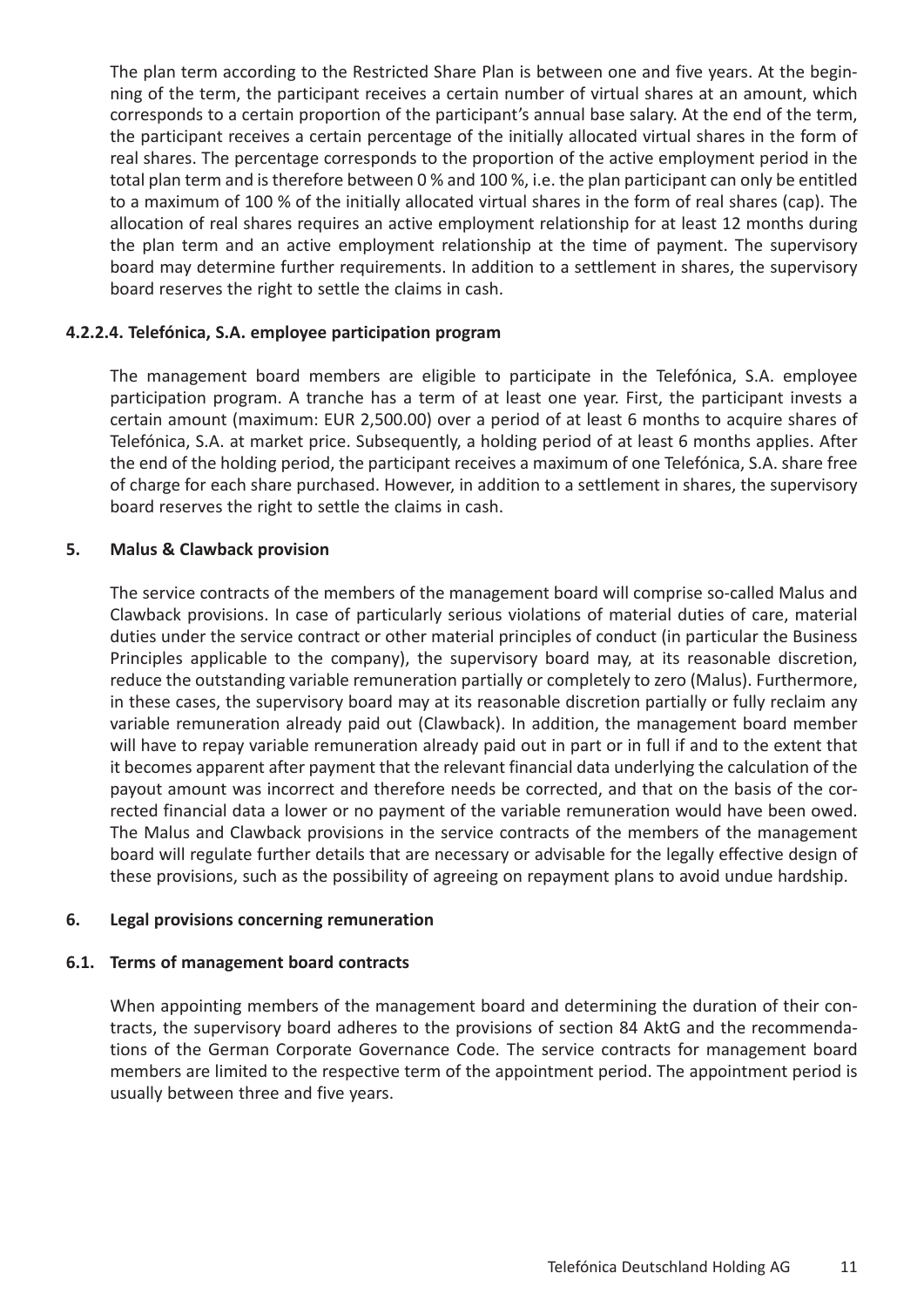The plan term according to the Restricted Share Plan is between one and five years. At the beginning of the term, the participant receives a certain number of virtual shares at an amount, which corresponds to a certain proportion of the participant's annual base salary. At the end of the term, the participant receives a certain percentage of the initially allocated virtual shares in the form of real shares. The percentage corresponds to the proportion of the active employment period in the total plan term and is therefore between 0 % and 100 %, i.e. the plan participant can only be entitled to a maximum of 100 % of the initially allocated virtual shares in the form of real shares (cap). The allocation of real shares requires an active employment relationship for at least 12 months during the plan term and an active employment relationship at the time of payment. The supervisory board may determine further requirements. In addition to a settlement in shares, the supervisory board reserves the right to settle the claims in cash.

## **4.2.2.4. Telefónica, S.A. employee participation program**

The management board members are eligible to participate in the Telefónica, S.A. employee participation program. A tranche has a term of at least one year. First, the participant invests a certain amount (maximum: EUR 2,500.00) over a period of at least 6 months to acquire shares of Telefónica, S.A. at market price. Subsequently, a holding period of at least 6 months applies. After the end of the holding period, the participant receives a maximum of one Telefónica, S.A. share free of charge for each share purchased. However, in addition to a settlement in shares, the supervisory board reserves the right to settle the claims in cash.

## **5. Malus & Clawback provision**

The service contracts of the members of the management board will comprise so-called Malus and Clawback provisions. In case of particularly serious violations of material duties of care, material duties under the service contract or other material principles of conduct (in particular the Business Principles applicable to the company), the supervisory board may, at its reasonable discretion, reduce the outstanding variable remuneration partially or completely to zero (Malus). Furthermore, in these cases, the supervisory board may at its reasonable discretion partially or fully reclaim any variable remuneration already paid out (Clawback). In addition, the management board member will have to repay variable remuneration already paid out in part or in full if and to the extent that it becomes apparent after payment that the relevant financial data underlying the calculation of the payout amount was incorrect and therefore needs be corrected, and that on the basis of the corrected financial data a lower or no payment of the variable remuneration would have been owed. The Malus and Clawback provisions in the service contracts of the members of the management board will regulate further details that are necessary or advisable for the legally effective design of these provisions, such as the possibility of agreeing on repayment plans to avoid undue hardship.

## **6. Legal provisions concerning remuneration**

## **6.1. Terms of management board contracts**

When appointing members of the management board and determining the duration of their contracts, the supervisory board adheres to the provisions of section 84 AktG and the recommendations of the German Corporate Governance Code. The service contracts for management board members are limited to the respective term of the appointment period. The appointment period is usually between three and five years.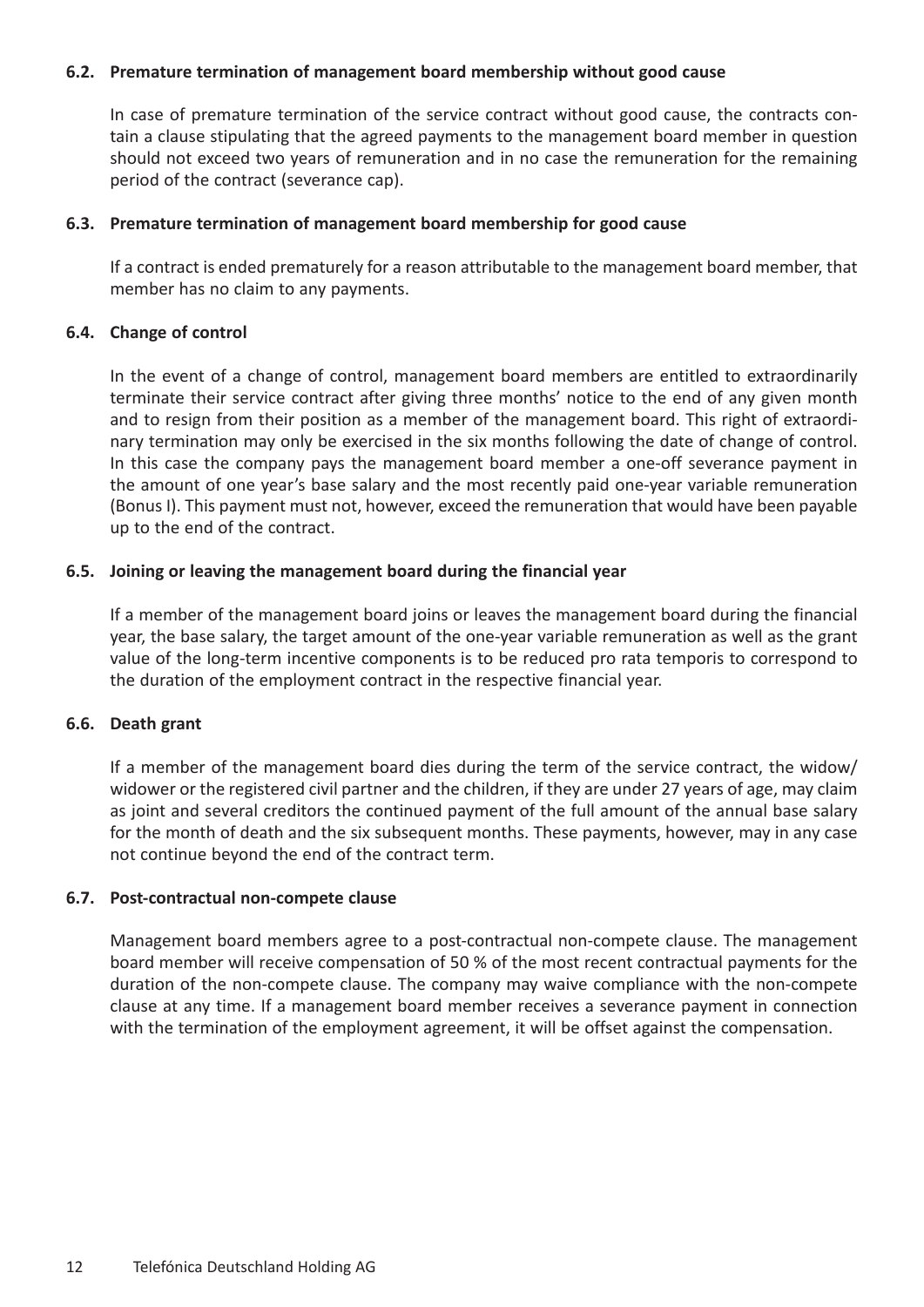# **6.2. Premature termination of management board membership without good cause**

In case of premature termination of the service contract without good cause, the contracts contain a clause stipulating that the agreed payments to the management board member in question should not exceed two years of remuneration and in no case the remuneration for the remaining period of the contract (severance cap).

## **6.3. Premature termination of management board membership for good cause**

If a contract is ended prematurely for a reason attributable to the management board member, that member has no claim to any payments.

## **6.4. Change of control**

In the event of a change of control, management board members are entitled to extraordinarily terminate their service contract after giving three months' notice to the end of any given month and to resign from their position as a member of the management board. This right of extraordinary termination may only be exercised in the six months following the date of change of control. In this case the company pays the management board member a one-off severance payment in the amount of one year's base salary and the most recently paid one-year variable remuneration (Bonus I). This payment must not, however, exceed the remuneration that would have been payable up to the end of the contract.

## **6.5. Joining or leaving the management board during the financial year**

If a member of the management board joins or leaves the management board during the financial year, the base salary, the target amount of the one-year variable remuneration as well as the grant value of the long-term incentive components is to be reduced pro rata temporis to correspond to the duration of the employment contract in the respective financial year.

## **6.6. Death grant**

If a member of the management board dies during the term of the service contract, the widow/ widower or the registered civil partner and the children, if they are under 27 years of age, may claim as joint and several creditors the continued payment of the full amount of the annual base salary for the month of death and the six subsequent months. These payments, however, may in any case not continue beyond the end of the contract term.

## **6.7. Post-contractual non-compete clause**

Management board members agree to a post-contractual non-compete clause. The management board member will receive compensation of 50 % of the most recent contractual payments for the duration of the non-compete clause. The company may waive compliance with the non-compete clause at any time. If a management board member receives a severance payment in connection with the termination of the employment agreement, it will be offset against the compensation.